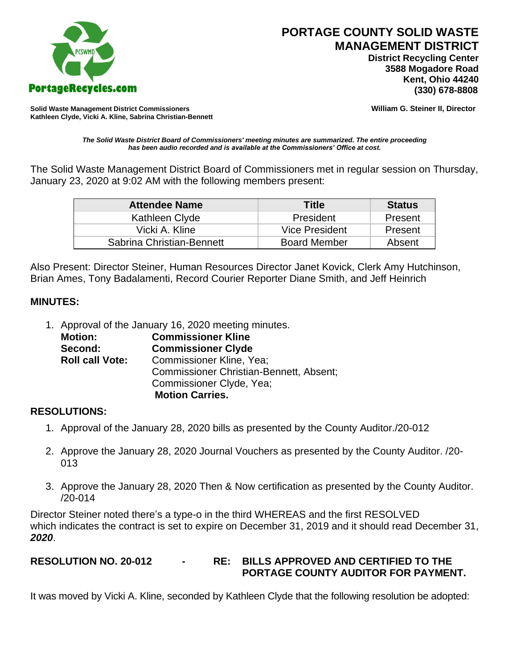

 **District Recycling Center 3588 Mogadore Road Kent, Ohio 44240**

**Solid Waste Management District Commissioners William G. Steiner II, Director Kathleen Clyde, Vicki A. Kline, Sabrina Christian-Bennett** 

*The Solid Waste District Board of Commissioners' meeting minutes are summarized. The entire proceeding has been audio recorded and is available at the Commissioners' Office at cost.*

The Solid Waste Management District Board of Commissioners met in regular session on Thursday, January 23, 2020 at 9:02 AM with the following members present:

| <b>Attendee Name</b>      | Title               | <b>Status</b> |
|---------------------------|---------------------|---------------|
| Kathleen Clyde            | President           | Present       |
| Vicki A. Kline            | Vice President      | Present       |
| Sabrina Christian-Bennett | <b>Board Member</b> | Absent        |

Also Present: Director Steiner, Human Resources Director Janet Kovick, Clerk Amy Hutchinson, Brian Ames, Tony Badalamenti, Record Courier Reporter Diane Smith, and Jeff Heinrich

### **MINUTES:**

1. Approval of the January 16, 2020 meeting minutes.

| <b>Motion:</b>         | <b>Commissioner Kline</b>                      |
|------------------------|------------------------------------------------|
| Second:                | <b>Commissioner Clyde</b>                      |
| <b>Roll call Vote:</b> | Commissioner Kline, Yea;                       |
|                        | <b>Commissioner Christian-Bennett, Absent;</b> |
|                        | Commissioner Clyde, Yea;                       |
|                        | <b>Motion Carries.</b>                         |

### **RESOLUTIONS:**

- 1. Approval of the January 28, 2020 bills as presented by the County Auditor./20-012
- 2. Approve the January 28, 2020 Journal Vouchers as presented by the County Auditor. /20- 013
- 3. Approve the January 28, 2020 Then & Now certification as presented by the County Auditor. /20-014

Director Steiner noted there's a type-o in the third WHEREAS and the first RESOLVED which indicates the contract is set to expire on December 31, 2019 and it should read December 31, *2020*.

# **RESOLUTION NO. 20-012 - RE: BILLS APPROVED AND CERTIFIED TO THE PORTAGE COUNTY AUDITOR FOR PAYMENT.**

It was moved by Vicki A. Kline, seconded by Kathleen Clyde that the following resolution be adopted: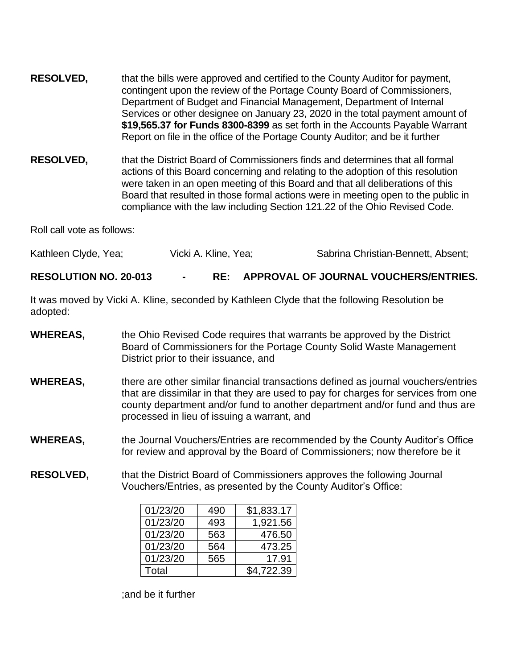- **RESOLVED,** that the bills were approved and certified to the County Auditor for payment, contingent upon the review of the Portage County Board of Commissioners, Department of Budget and Financial Management, Department of Internal Services or other designee on January 23, 2020 in the total payment amount of **\$19,565.37 for Funds 8300-8399** as set forth in the Accounts Payable Warrant Report on file in the office of the Portage County Auditor; and be it further
- **RESOLVED,** that the District Board of Commissioners finds and determines that all formal actions of this Board concerning and relating to the adoption of this resolution were taken in an open meeting of this Board and that all deliberations of this Board that resulted in those formal actions were in meeting open to the public in compliance with the law including Section 121.22 of the Ohio Revised Code.

Roll call vote as follows:

Kathleen Clyde, Yea; The Vicki A. Kline, Yea; The Sabrina Christian-Bennett, Absent;

**RESOLUTION NO. 20-013 - RE: APPROVAL OF JOURNAL VOUCHERS/ENTRIES.**

It was moved by Vicki A. Kline, seconded by Kathleen Clyde that the following Resolution be adopted:

- **WHEREAS,** the Ohio Revised Code requires that warrants be approved by the District Board of Commissioners for the Portage County Solid Waste Management District prior to their issuance, and
- **WHEREAS,** there are other similar financial transactions defined as journal vouchers/entries that are dissimilar in that they are used to pay for charges for services from one county department and/or fund to another department and/or fund and thus are processed in lieu of issuing a warrant, and
- **WHEREAS,** the Journal Vouchers/Entries are recommended by the County Auditor's Office for review and approval by the Board of Commissioners; now therefore be it
- **RESOLVED,** that the District Board of Commissioners approves the following Journal Vouchers/Entries, as presented by the County Auditor's Office:

| 01/23/20 | 490 | \$1,833.17 |
|----------|-----|------------|
| 01/23/20 | 493 | 1,921.56   |
| 01/23/20 | 563 | 476.50     |
| 01/23/20 | 564 | 473.25     |
| 01/23/20 | 565 | 17.91      |
| Total    |     | \$4,722.39 |

;and be it further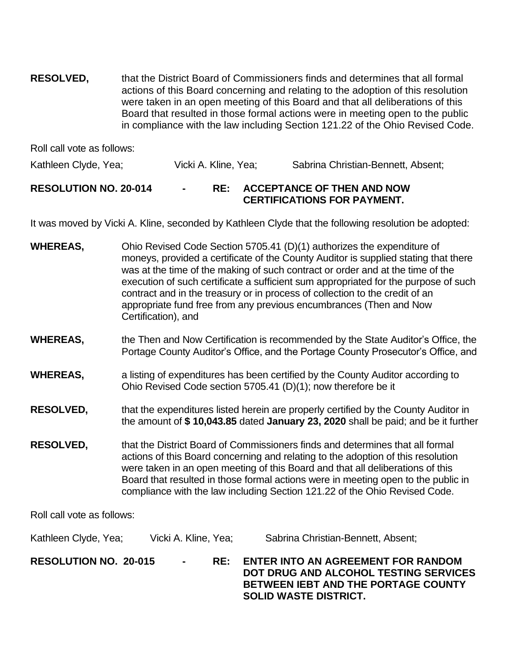**RESOLVED,** that the District Board of Commissioners finds and determines that all formal actions of this Board concerning and relating to the adoption of this resolution were taken in an open meeting of this Board and that all deliberations of this Board that resulted in those formal actions were in meeting open to the public in compliance with the law including Section 121.22 of the Ohio Revised Code.

Roll call vote as follows:

Kathleen Clyde, Yea; Vicki A. Kline, Yea; Sabrina Christian-Bennett, Absent;

## **RESOLUTION NO. 20-014 - RE: ACCEPTANCE OF THEN AND NOW CERTIFICATIONS FOR PAYMENT.**

It was moved by Vicki A. Kline, seconded by Kathleen Clyde that the following resolution be adopted:

- **WHEREAS,** Ohio Revised Code Section 5705.41 (D)(1) authorizes the expenditure of moneys, provided a certificate of the County Auditor is supplied stating that there was at the time of the making of such contract or order and at the time of the execution of such certificate a sufficient sum appropriated for the purpose of such contract and in the treasury or in process of collection to the credit of an appropriate fund free from any previous encumbrances (Then and Now Certification), and
- **WHEREAS,** the Then and Now Certification is recommended by the State Auditor's Office, the Portage County Auditor's Office, and the Portage County Prosecutor's Office, and
- **WHEREAS,** a listing of expenditures has been certified by the County Auditor according to Ohio Revised Code section 5705.41 (D)(1); now therefore be it
- **RESOLVED,** that the expenditures listed herein are properly certified by the County Auditor in the amount of **\$ 10,043.85** dated **January 23, 2020** shall be paid; and be it further
- **RESOLVED,** that the District Board of Commissioners finds and determines that all formal actions of this Board concerning and relating to the adoption of this resolution were taken in an open meeting of this Board and that all deliberations of this Board that resulted in those formal actions were in meeting open to the public in compliance with the law including Section 121.22 of the Ohio Revised Code.

Roll call vote as follows:

Kathleen Clyde, Yea; Vicki A. Kline, Yea; Sabrina Christian-Bennett, Absent; **RESOLUTION NO. 20-015 - RE: ENTER INTO AN AGREEMENT FOR RANDOM DOT DRUG AND ALCOHOL TESTING SERVICES BETWEEN IEBT AND THE PORTAGE COUNTY SOLID WASTE DISTRICT.**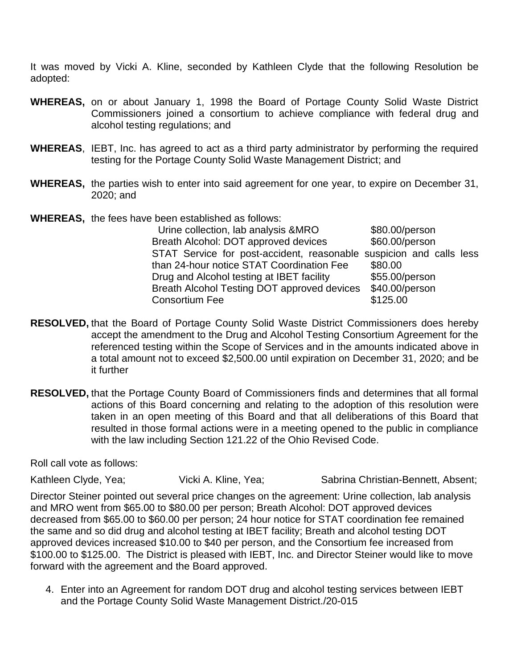It was moved by Vicki A. Kline, seconded by Kathleen Clyde that the following Resolution be adopted:

- **WHEREAS,** on or about January 1, 1998 the Board of Portage County Solid Waste District Commissioners joined a consortium to achieve compliance with federal drug and alcohol testing regulations; and
- **WHEREAS**, IEBT, Inc. has agreed to act as a third party administrator by performing the required testing for the Portage County Solid Waste Management District; and
- **WHEREAS,** the parties wish to enter into said agreement for one year, to expire on December 31, 2020; and
- **WHEREAS,** the fees have been established as follows:

| Urine collection, lab analysis & MRO                                | \$80.00/person |
|---------------------------------------------------------------------|----------------|
| Breath Alcohol: DOT approved devices                                | \$60.00/person |
| STAT Service for post-accident, reasonable suspicion and calls less |                |
| than 24-hour notice STAT Coordination Fee                           | \$80.00        |
| Drug and Alcohol testing at IBET facility                           | \$55.00/person |
| Breath Alcohol Testing DOT approved devices                         | \$40.00/person |
| <b>Consortium Fee</b>                                               | \$125.00       |

- **RESOLVED,** that the Board of Portage County Solid Waste District Commissioners does hereby accept the amendment to the Drug and Alcohol Testing Consortium Agreement for the referenced testing within the Scope of Services and in the amounts indicated above in a total amount not to exceed \$2,500.00 until expiration on December 31, 2020; and be it further
- **RESOLVED,** that the Portage County Board of Commissioners finds and determines that all formal actions of this Board concerning and relating to the adoption of this resolution were taken in an open meeting of this Board and that all deliberations of this Board that resulted in those formal actions were in a meeting opened to the public in compliance with the law including Section 121.22 of the Ohio Revised Code.

Roll call vote as follows:

Kathleen Clyde, Yea; The Vicki A. Kline, Yea; The Sabrina Christian-Bennett, Absent;

Director Steiner pointed out several price changes on the agreement: Urine collection, lab analysis and MRO went from \$65.00 to \$80.00 per person; Breath Alcohol: DOT approved devices decreased from \$65.00 to \$60.00 per person; 24 hour notice for STAT coordination fee remained the same and so did drug and alcohol testing at IBET facility; Breath and alcohol testing DOT approved devices increased \$10.00 to \$40 per person, and the Consortium fee increased from \$100.00 to \$125.00. The District is pleased with IEBT, Inc. and Director Steiner would like to move forward with the agreement and the Board approved.

4. Enter into an Agreement for random DOT drug and alcohol testing services between IEBT and the Portage County Solid Waste Management District./20-015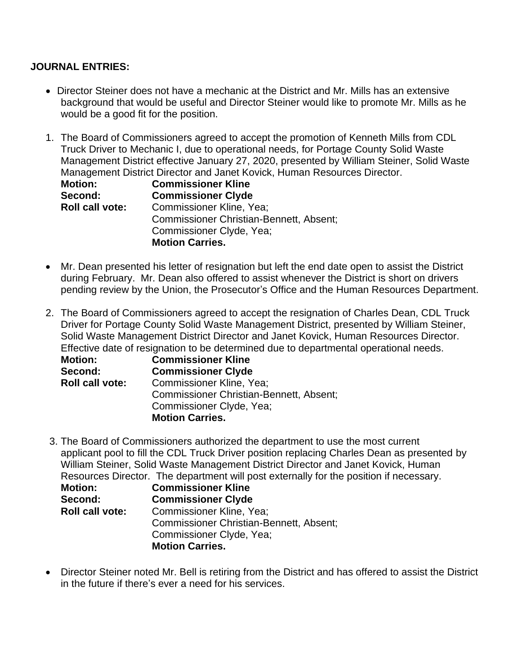### **JOURNAL ENTRIES:**

- Director Steiner does not have a mechanic at the District and Mr. Mills has an extensive background that would be useful and Director Steiner would like to promote Mr. Mills as he would be a good fit for the position.
- 1. The Board of Commissioners agreed to accept the promotion of Kenneth Mills from CDL Truck Driver to Mechanic I, due to operational needs, for Portage County Solid Waste Management District effective January 27, 2020, presented by William Steiner, Solid Waste Management District Director and Janet Kovick, Human Resources Director.

| <b>Motion:</b>         | <b>Commissioner Kline</b>                      |
|------------------------|------------------------------------------------|
| Second:                | <b>Commissioner Clyde</b>                      |
| <b>Roll call vote:</b> | Commissioner Kline, Yea;                       |
|                        | <b>Commissioner Christian-Bennett, Absent;</b> |
|                        | Commissioner Clyde, Yea;                       |
|                        | <b>Motion Carries.</b>                         |

- Mr. Dean presented his letter of resignation but left the end date open to assist the District during February. Mr. Dean also offered to assist whenever the District is short on drivers pending review by the Union, the Prosecutor's Office and the Human Resources Department.
- 2. The Board of Commissioners agreed to accept the resignation of Charles Dean, CDL Truck Driver for Portage County Solid Waste Management District, presented by William Steiner, Solid Waste Management District Director and Janet Kovick, Human Resources Director. Effective date of resignation to be determined due to departmental operational needs.

| <b>Motion:</b>         | <b>Commissioner Kline</b>               |
|------------------------|-----------------------------------------|
| Second:                | <b>Commissioner Clyde</b>               |
| <b>Roll call vote:</b> | <b>Commissioner Kline, Yea;</b>         |
|                        | Commissioner Christian-Bennett, Absent; |
|                        | Commissioner Clyde, Yea;                |
|                        | <b>Motion Carries.</b>                  |

3. The Board of Commissioners authorized the department to use the most current applicant pool to fill the CDL Truck Driver position replacing Charles Dean as presented by William Steiner, Solid Waste Management District Director and Janet Kovick, Human Resources Director. The department will post externally for the position if necessary.

| <b>Motion:</b>         | <b>Commissioner Kline</b>                      |
|------------------------|------------------------------------------------|
| Second:                | <b>Commissioner Clyde</b>                      |
| <b>Roll call vote:</b> | <b>Commissioner Kline, Yea;</b>                |
|                        | <b>Commissioner Christian-Bennett, Absent;</b> |
|                        | Commissioner Clyde, Yea;                       |
|                        | <b>Motion Carries.</b>                         |

• Director Steiner noted Mr. Bell is retiring from the District and has offered to assist the District in the future if there's ever a need for his services.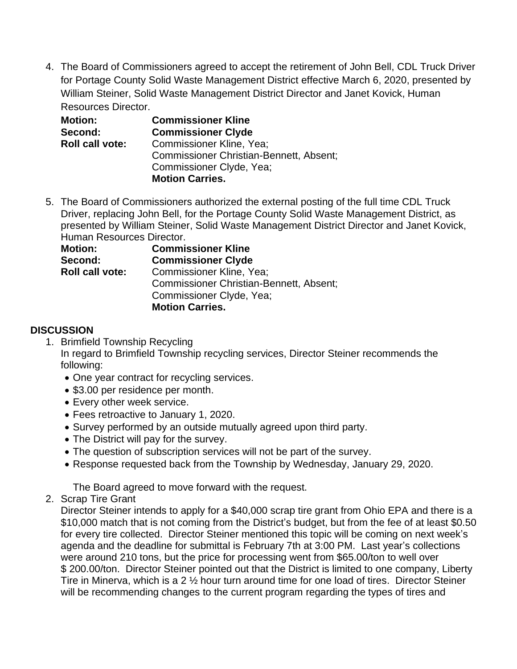4. The Board of Commissioners agreed to accept the retirement of John Bell, CDL Truck Driver for Portage County Solid Waste Management District effective March 6, 2020, presented by William Steiner, Solid Waste Management District Director and Janet Kovick, Human Resources Director.

| <b>Motion:</b>         | <b>Commissioner Kline</b>                      |
|------------------------|------------------------------------------------|
| Second:                | <b>Commissioner Clyde</b>                      |
| <b>Roll call vote:</b> | <b>Commissioner Kline, Yea;</b>                |
|                        | <b>Commissioner Christian-Bennett, Absent;</b> |
|                        | Commissioner Clyde, Yea;                       |
|                        | <b>Motion Carries.</b>                         |

5. The Board of Commissioners authorized the external posting of the full time CDL Truck Driver, replacing John Bell, for the Portage County Solid Waste Management District, as presented by William Steiner, Solid Waste Management District Director and Janet Kovick, Human Resources Director.

| <b>Motion:</b>         | <b>Commissioner Kline</b>                      |
|------------------------|------------------------------------------------|
| Second:                | <b>Commissioner Clyde</b>                      |
| <b>Roll call vote:</b> | Commissioner Kline, Yea;                       |
|                        | <b>Commissioner Christian-Bennett, Absent;</b> |
|                        | Commissioner Clyde, Yea;                       |
|                        | <b>Motion Carries.</b>                         |

## **DISCUSSION**

- 1. Brimfield Township Recycling In regard to Brimfield Township recycling services, Director Steiner recommends the following:
	- One year contract for recycling services.
	- \$3.00 per residence per month.
	- Every other week service.
	- Fees retroactive to January 1, 2020.
	- Survey performed by an outside mutually agreed upon third party.
	- The District will pay for the survey.
	- The question of subscription services will not be part of the survey.
	- Response requested back from the Township by Wednesday, January 29, 2020.

The Board agreed to move forward with the request.

2. Scrap Tire Grant

Director Steiner intends to apply for a \$40,000 scrap tire grant from Ohio EPA and there is a \$10,000 match that is not coming from the District's budget, but from the fee of at least \$0.50 for every tire collected. Director Steiner mentioned this topic will be coming on next week's agenda and the deadline for submittal is February 7th at 3:00 PM. Last year's collections were around 210 tons, but the price for processing went from \$65.00/ton to well over \$ 200.00/ton. Director Steiner pointed out that the District is limited to one company, Liberty Tire in Minerva, which is a 2 ½ hour turn around time for one load of tires. Director Steiner will be recommending changes to the current program regarding the types of tires and